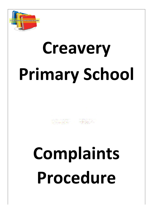

# **Creavery Primary School**

ERRET

## **Complaints Procedure**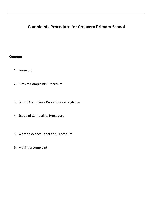## **Complaints Procedure for Creavery Primary School**

### **Contents**

- 1. Foreword
- 2. Aims of Complaints Procedure
- 3. School Complaints Procedure at a glance
- 4. Scope of Complaints Procedure
- 5. What to expect under this Procedure
- 6. Making a complaint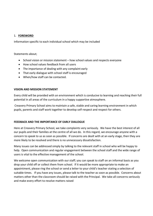### 1. **FOREWORD**

Information specific to each individual school which may be included

Statements about;

- School vision or mission statement how school values and respects everyone
- How school values feedback from all users
- The importance of dealing with any complaint early
- That early dialogue with school staff is encouraged
- When/how staff can be contacted.

### **VISION AND MISSION STATEMENT**

Every child will be provided with an environment which is conducive to learning and reaching their full potential in all areas of the curriculum in a happy supportive atmosphere.

Creavery Primary School aims to maintain a safe, stable and caring learning environment in which pupils, parents and staff work together to develop self-respect and respect for others.

### **FEEDBACK AND THE IMPORTANCE OF EARLY DIALOGUE**

Here at Creavery Primary School, we take complaints very seriously. We have the best interest of all our pupils and their families at the centre of all we do. In this regard, we encourage anyone with a concern to speak to us as soon as possible. If concerns are dealt with at an early stage, then they are more likely to be resolved and there is no unnecessary dissatisfaction.

Many issues can be addressed simply by talking to the relevant staff in school who will be happy to help. Open communication and regular engagement between the school staff and the wide range of users is vital to the effective management of the school.

We welcome open communication with our staff; you can speak to staff on an informal basis as you drop your child off or collect them from school. If it would be more appropriate to make an appointment, please ring the school or send a letter to your child's teacher stating a selection of suitable times. If you have any issues, please talk to the teacher as soon as possible. Concerns about matters other than the classroom should be raised with the Principal. We take all concerns seriously and make every effort to resolve matters raised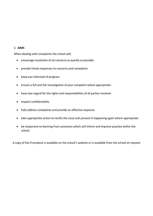### 2. **AIMS**

When dealing with complaints the school will;

- encourage resolution of all concerns as quickly as possible
- provide timely responses to concerns and complaints
- keep you informed of progress
- ensure a full and fair investigation of your complaint where appropriate
- have due regard for the rights and responsibilities of all parties involved
- respect confidentiality
- fully address complaints and provide an effective response
- take appropriate action to rectify the issue and prevent it happening again where appropriate
- be responsive to learning from outcomes which will inform and improve practice within the school.

A copy of this Procedure is available on the school's website or is available from the school on request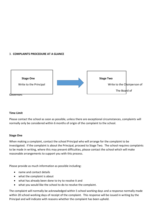### 3. **COMPLAINTS PROCEDURE AT A GLANCE**



### **Time Limit**

Please contact the school as soon as possible, unless there are exceptional circumstances, complaints will normally only be considered within 6 months of origin of the complaint to the school.

### **Stage One**

When making a complaint, contact the school Principal who will arrange for the complaint to be investigated. If the complaint is about the Principal, proceed to Stage Two. The school requires complaints to be made in writing, where this may present difficulties, please contact the school which will make reasonable arrangements to support you with this process.

Please provide as much information as possible including:

- name and contact details
- what the complaint is about
- what has already been done to try to resolve it and
- what you would like the school to do to resolve the complaint.

The complaint will normally be acknowledged within 5 school working days and a response normally made within 20 school working days of receipt of the complaint. This response will be issued in writing by the Principal and will indicate with reasons whether the complaint has been upheld.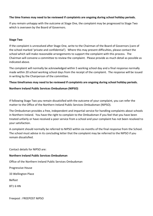### **The time frames may need to be reviewed if complaints are ongoing during school holiday periods.**

If you remain unhappy with the outcome at Stage One, the complaint may be progressed to Stage Two which is overseen by the Board of Governors.

### **Stage Two**

If the complaint is unresolved after Stage One, write to the Chairman of the Board of Governors (care of the school marked 'private and confidential'). Where this may present difficulties, please contact the school which will make reasonable arrangements to support the complaint with this process. The Chairman will convene a committee to review the complaint. Please provide as much detail as possible as indicated above.

The complaint will normally be acknowledged within 5 working school day and a final response normally made within 20 school working school days from the receipt of the complaint. The response will be issued in writing by the Chairperson of the committee.

### **These timeframes may need to be reviewed if complaints are ongoing during school holiday periods.**

### **Northern Ireland Public Services Ombudsman (NIPSO)**

If following Stage Two you remain dissatisfied with the outcome of your complaint, you can refer the matter to the Office of the Northern Ireland Public Services Ombudsman (NIPSO).

The Ombudsman provides a free, independent and impartial service for handling complaints about schools in Northern Ireland. You have the right to complain to the Ombudsman if you feel that you have been treated unfairly or have received a poor service from a school and your complaint has not been resolved to your satisfaction.

A complaint should normally be referred to NIPSO within six months of the final response from the School. The school must advise in its concluding letter that the complaint may be referred to the NIPSO if you remain dissatisfied.

Contact details for NIPSO are:

### **Northern Ireland Public Services Ombudsman**

Office of the Northern Ireland Public Services Ombudsman

Progressive House

33 Wellington Place

Belfast

BT1 6 HN

Freepost : FREEPOST NIPSO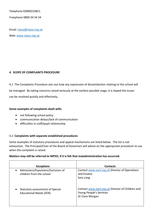Telephone 02890233821

Freephone 0800 34 34 24

Email: [nipso@nipso.org.uk](mailto:nipso@nipso.org.uk)

Web: [www.nipso.org.uk](http://www.nipso.org.uk/)

### **4. SCOPE OF COMPLAINTS PROCEDURE**

4.1 The Complaints Procedure sets out how any expression of dissatisfaction relating to the school will be managed. By taking concerns raised seriously at the earliest possible stage, it is hoped the issues can be resolved quickly and effectively.

### **Some examples of complaints dealt with;**

- not following school policy
- communication delays/lack of communication
- difficulties in staff/pupil relationship

### 4.2 **Complaints with separate established procedures**

Some examples of statutory procedures and appeal mechanisms are listed below. The list is not exhaustive. The Principal/Chair of the Board of Governors will advise on the appropriate procedure to use when the complaint is raised.

### **Matters may still be referred to NIPSO, if it is felt that maladministration has occurred.**

| <b>Exceptions</b>                  | <b>Contacts</b>                                  |
|------------------------------------|--------------------------------------------------|
| Admissions/Expulsions/Exclusion of | Contact www.eani.org.uk Director of Operations   |
| $\bullet$                          | and Estates                                      |
| children from the school           | Sara Long                                        |
| Statutory assessments of Special   | Contact www.eani.org.uk Director of Children and |
| $\bullet$                          | Young People's Services                          |
| <b>Educational Needs (SEN)</b>     | Dr Clare Morgan                                  |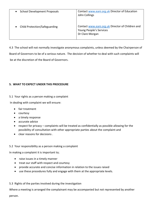| <b>School Development Proposals</b> | Contact www.eani.org.uk Director of Education<br>John Collings                                 |
|-------------------------------------|------------------------------------------------------------------------------------------------|
| Child Protection/Safeguarding       | Contact www.eani.org.uk Director of Children and<br>Young People's Services<br>Dr Clare Morgan |

4.3 The school will not normally investigate anonymous complaints, unless deemed by the Chairperson of Board of Governors to be of a serious nature. The decision of whether to deal with such complaints will be at the discretion of the Board of Governors.

### **5. WHAT TO EXPECT UNDER THIS PROCEDURE**

5.1 Your rights as a person making a complaint

In dealing with complaint we will ensure:

- fair treatment
- courtesy
- a timely response
- accurate advice
- respect for privacy complaints will be treated as confidentially as possible allowing for the possibility of consultation with other appropriate parties about the complaint and
- clear reasons for decisions .

### 5.2 Your responsibility as a person making a complaint

In making a complaint it is important to;

- raise issues in a timely manner
- treat our staff with respect and courtesy
- provide accurate and concise information in relation to the issues raised
- use these procedures fully and engage with them at the appropriate levels.

### 5.3 Rights of the parties involved during the investigation

Where a meeting is arranged the complainant may be accompanied but not represented by another person.